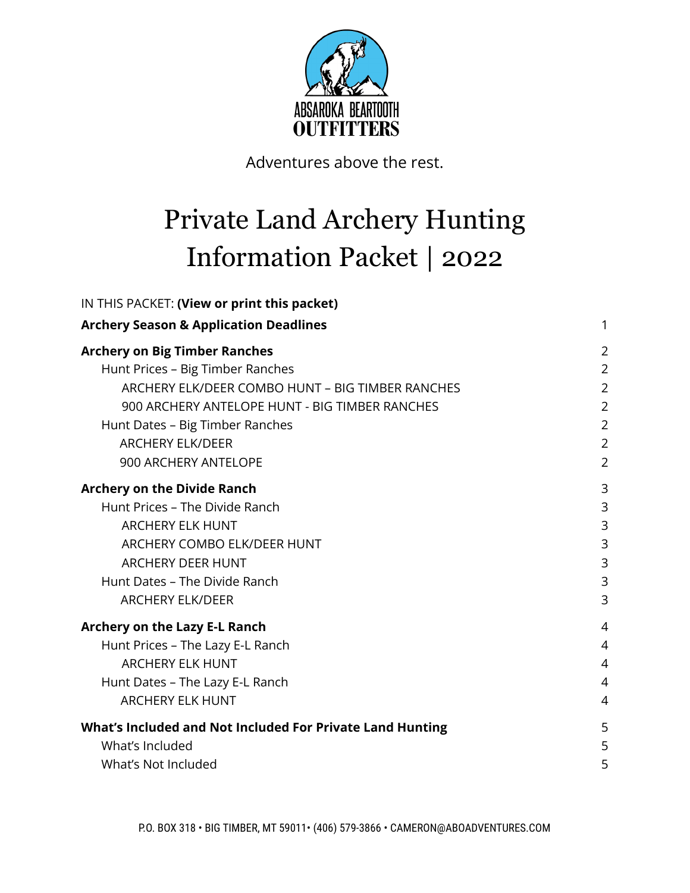

Adventures above the rest.

# Private Land Archery Hunting Information Packet | 2022

| IN THIS PACKET: (View or print this packet)               |                |
|-----------------------------------------------------------|----------------|
| <b>Archery Season &amp; Application Deadlines</b>         | 1              |
| <b>Archery on Big Timber Ranches</b>                      | $\overline{2}$ |
| Hunt Prices - Big Timber Ranches                          | $\overline{2}$ |
| ARCHERY ELK/DEER COMBO HUNT - BIG TIMBER RANCHES          | $\overline{2}$ |
| 900 ARCHERY ANTELOPE HUNT - BIG TIMBER RANCHES            | $\overline{2}$ |
| Hunt Dates - Big Timber Ranches                           | $\overline{2}$ |
| <b>ARCHERY ELK/DEER</b>                                   | $\overline{2}$ |
| 900 ARCHERY ANTELOPE                                      | $\overline{2}$ |
| <b>Archery on the Divide Ranch</b>                        | 3              |
| Hunt Prices - The Divide Ranch                            | 3              |
| <b>ARCHERY ELK HUNT</b>                                   | 3              |
| <b>ARCHERY COMBO ELK/DEER HUNT</b>                        | 3              |
| <b>ARCHERY DEER HUNT</b>                                  | 3              |
| Hunt Dates - The Divide Ranch                             | 3              |
| <b>ARCHERY ELK/DEER</b>                                   | 3              |
| Archery on the Lazy E-L Ranch                             | $\overline{4}$ |
| Hunt Prices - The Lazy E-L Ranch                          | $\overline{4}$ |
| <b>ARCHERY ELK HUNT</b>                                   | $\overline{4}$ |
| Hunt Dates - The Lazy E-L Ranch                           | $\overline{4}$ |
| <b>ARCHERY ELK HUNT</b>                                   | $\overline{4}$ |
| What's Included and Not Included For Private Land Hunting | 5              |
| What's Included                                           | 5              |
| What's Not Included                                       | 5              |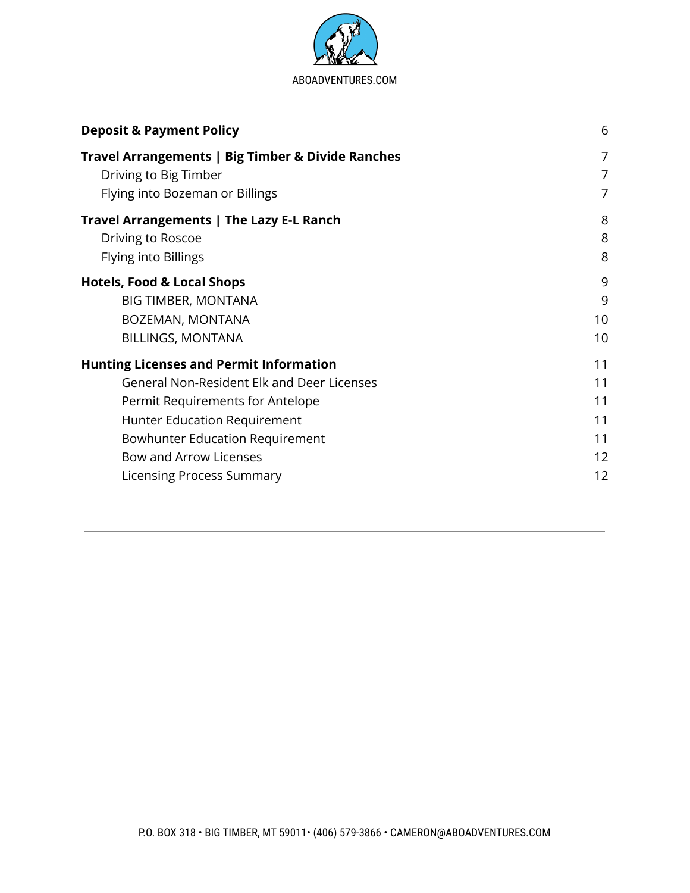

<span id="page-1-0"></span>

| <b>Deposit &amp; Payment Policy</b>                      | 6                   |
|----------------------------------------------------------|---------------------|
| Travel Arrangements   Big Timber & Divide Ranches        | 7                   |
| Driving to Big Timber<br>Flying into Bozeman or Billings | $\overline{7}$<br>7 |
| Travel Arrangements   The Lazy E-L Ranch                 | 8                   |
| Driving to Roscoe                                        | 8                   |
| Flying into Billings                                     | 8                   |
| <b>Hotels, Food &amp; Local Shops</b>                    | 9                   |
| <b>BIG TIMBER, MONTANA</b>                               | 9                   |
| BOZEMAN, MONTANA                                         | 10                  |
| <b>BILLINGS, MONTANA</b>                                 | 10                  |
| <b>Hunting Licenses and Permit Information</b>           | 11                  |
| <b>General Non-Resident Elk and Deer Licenses</b>        | 11                  |
| Permit Requirements for Antelope                         | 11                  |
| Hunter Education Requirement                             | 11                  |
| <b>Bowhunter Education Requirement</b>                   | 11                  |
| Bow and Arrow Licenses                                   | 12                  |
| Licensing Process Summary                                | 12                  |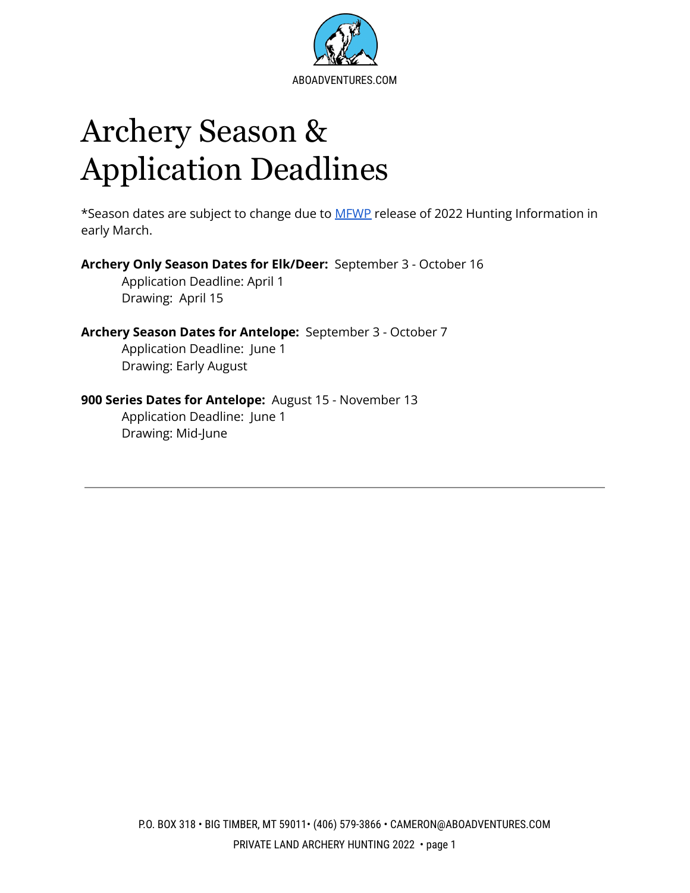

# Archery Season & Application Deadlines

\*Season dates are subject to change due to [MFWP](http://fwp.mt.gov/) release of 2022 Hunting Information in early March.

**Archery Only Season Dates for Elk/Deer:** September 3 - October 16 Application Deadline: April 1

Drawing: April 15

#### **Archery Season Dates for Antelope:** September 3 - October 7 Application Deadline: June 1

Drawing: Early August

#### **900 Series Dates for Antelope:** August 15 - November 13

Application Deadline: June 1 Drawing: Mid-June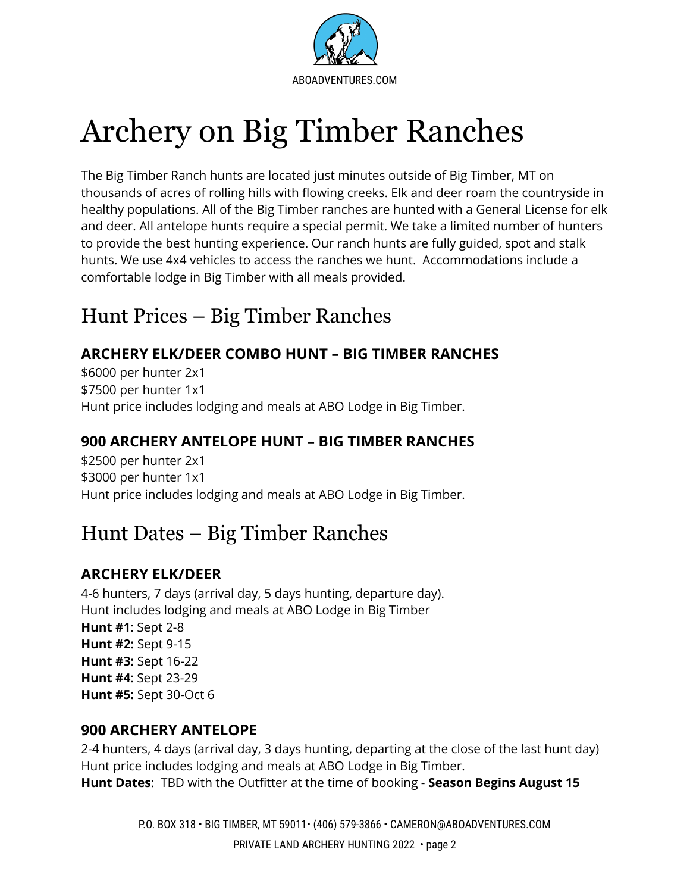

# Archery on Big Timber Ranches

The Big Timber Ranch hunts are located just minutes outside of Big Timber, MT on thousands of acres of rolling hills with flowing creeks. Elk and deer roam the countryside in healthy populations. All of the Big Timber ranches are hunted with a General License for elk and deer. All antelope hunts require a special permit. We take a limited number of hunters to provide the best hunting experience. Our ranch hunts are fully guided, spot and stalk hunts. We use 4x4 vehicles to access the ranches we hunt. Accommodations include a comfortable lodge in Big Timber with all meals provided.

# <span id="page-3-0"></span>Hunt Prices – Big Timber Ranches

## <span id="page-3-1"></span>**ARCHERY ELK/DEER COMBO HUNT – BIG TIMBER RANCHES**

\$6000 per hunter 2x1 \$7500 per hunter 1x1 Hunt price includes lodging and meals at ABO Lodge in Big Timber.

## **900 ARCHERY ANTELOPE HUNT – BIG TIMBER RANCHES**

\$2500 per hunter 2x1 \$3000 per hunter 1x1 Hunt price includes lodging and meals at ABO Lodge in Big Timber.

# Hunt Dates – Big Timber Ranches

## **ARCHERY ELK/DEER**

4-6 hunters, 7 days (arrival day, 5 days hunting, departure day). Hunt includes lodging and meals at ABO Lodge in Big Timber **Hunt #1**: Sept 2-8 **Hunt #2:** Sept 9-15 **Hunt #3:** Sept 16-22 **Hunt #4**: Sept 23-29 **Hunt #5:** Sept 30-Oct 6

### **900 ARCHERY ANTELOPE**

2-4 hunters, 4 days (arrival day, 3 days hunting, departing at the close of the last hunt day) Hunt price includes lodging and meals at ABO Lodge in Big Timber. **Hunt Dates**: TBD with the Outfitter at the time of booking - **Season Begins August 15**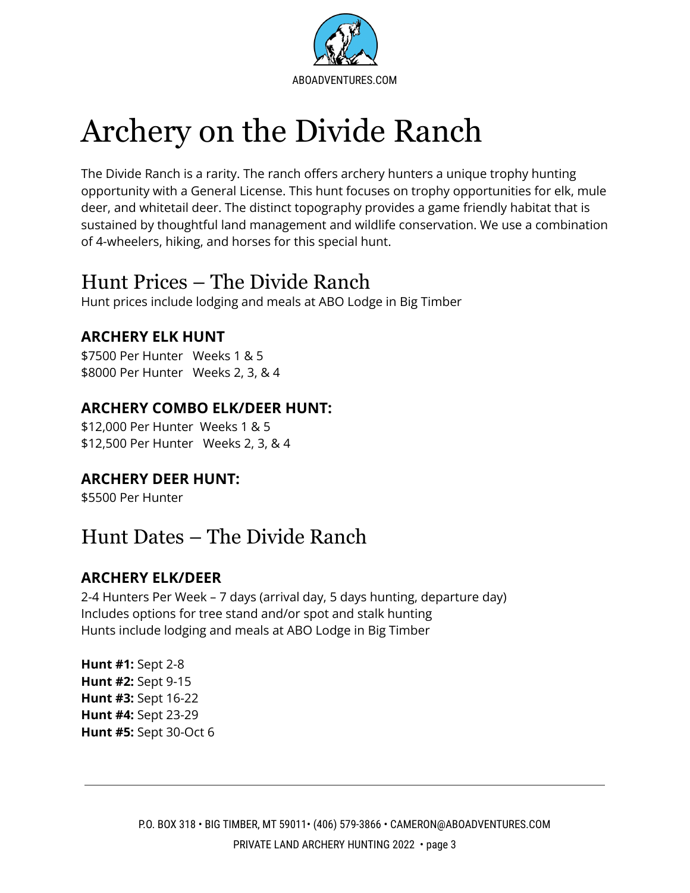

# Archery on the Divide Ranch

The Divide Ranch is a rarity. The ranch offers archery hunters a unique trophy hunting opportunity with a General License. This hunt focuses on trophy opportunities for elk, mule deer, and whitetail deer. The distinct topography provides a game friendly habitat that is sustained by thoughtful land management and wildlife conservation. We use a combination of 4-wheelers, hiking, and horses for this special hunt.

## <span id="page-4-0"></span>Hunt Prices – The Divide Ranch

Hunt prices include lodging and meals at ABO Lodge in Big Timber

## <span id="page-4-1"></span>**ARCHERY ELK HUNT**

\$7500 Per Hunter Weeks 1 & 5 \$8000 Per Hunter Weeks 2, 3, & 4

## <span id="page-4-2"></span>**ARCHERY COMBO ELK/DEER HUNT:**

\$12,000 Per Hunter Weeks 1 & 5 \$12,500 Per Hunter Weeks 2, 3, & 4

## <span id="page-4-3"></span>**ARCHERY DEER HUNT:**

\$5500 Per Hunter

# <span id="page-4-4"></span>Hunt Dates – The Divide Ranch

## **ARCHERY ELK/DEER**

2-4 Hunters Per Week – 7 days (arrival day, 5 days hunting, departure day) Includes options for tree stand and/or spot and stalk hunting Hunts include lodging and meals at ABO Lodge in Big Timber

**Hunt #1:** Sept 2-8 **Hunt #2:** Sept 9-15 **Hunt #3:** Sept 16-22 **Hunt #4:** Sept 23-29 **Hunt #5:** Sept 30-Oct 6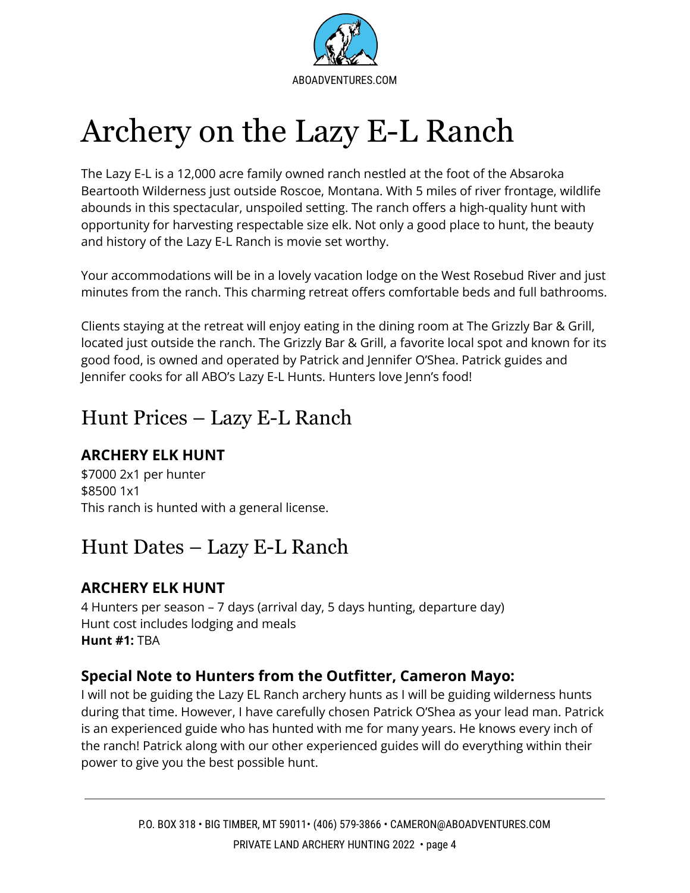

# <span id="page-5-0"></span>Archery on the Lazy E-L Ranch

The Lazy E-L is a 12,000 acre family owned ranch nestled at the foot of the Absaroka Beartooth Wilderness just outside Roscoe, Montana. With 5 miles of river frontage, wildlife abounds in this spectacular, unspoiled setting. The ranch offers a high-quality hunt with opportunity for harvesting respectable size elk. Not only a good place to hunt, the beauty and history of the Lazy E-L Ranch is movie set worthy.

Your accommodations will be in a lovely vacation lodge on the West Rosebud River and just minutes from the ranch. This charming retreat offers comfortable beds and full bathrooms.

Clients staying at the retreat will enjoy eating in the dining room at The Grizzly Bar & Grill, located just outside the ranch. The Grizzly Bar & Grill, a favorite local spot and known for its good food, is owned and operated by Patrick and Jennifer O'Shea. Patrick guides and Jennifer cooks for all ABO's Lazy E-L Hunts. Hunters love Jenn's food!

# <span id="page-5-1"></span>Hunt Prices – Lazy E-L Ranch

## <span id="page-5-2"></span>**ARCHERY ELK HUNT**

\$7000 2x1 per hunter \$8500 1x1 This ranch is hunted with a general license.

# <span id="page-5-3"></span>Hunt Dates – Lazy E-L Ranch

## **ARCHERY ELK HUNT**

4 Hunters per season – 7 days (arrival day, 5 days hunting, departure day) Hunt cost includes lodging and meals **Hunt #1:** TBA

## **Special Note to Hunters from the Outfitter, Cameron Mayo:**

I will not be guiding the Lazy EL Ranch archery hunts as I will be guiding wilderness hunts during that time. However, I have carefully chosen Patrick O'Shea as your lead man. Patrick is an experienced guide who has hunted with me for many years. He knows every inch of the ranch! Patrick along with our other experienced guides will do everything within their power to give you the best possible hunt.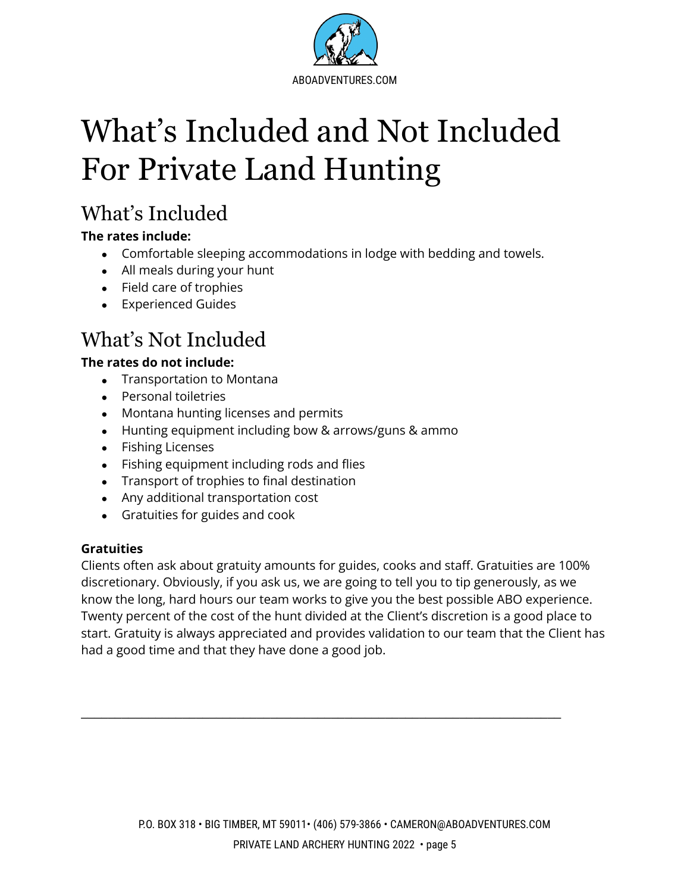

# <span id="page-6-0"></span>What's Included and Not Included For Private Land Hunting

# <span id="page-6-1"></span>What's Included

#### **The rates include:**

- Comfortable sleeping accommodations in lodge with bedding and towels.
- All meals during your hunt
- Field care of trophies
- Experienced Guides

# <span id="page-6-2"></span>What's Not Included

#### **The rates do not include:**

- Transportation to Montana
- Personal toiletries
- Montana hunting licenses and permits
- Hunting equipment including bow & arrows/guns & ammo
- Fishing Licenses
- Fishing equipment including rods and flies
- Transport of trophies to final destination
- Any additional transportation cost
- Gratuities for guides and cook

#### **Gratuities**

Clients often ask about gratuity amounts for guides, cooks and staff. Gratuities are 100% discretionary. Obviously, if you ask us, we are going to tell you to tip generously, as we know the long, hard hours our team works to give you the best possible ABO experience. Twenty percent of the cost of the hunt divided at the Client's discretion is a good place to start. Gratuity is always appreciated and provides validation to our team that the Client has had a good time and that they have done a good job.

\_\_\_\_\_\_\_\_\_\_\_\_\_\_\_\_\_\_\_\_\_\_\_\_\_\_\_\_\_\_\_\_\_\_\_\_\_\_\_\_\_\_\_\_\_\_\_\_\_\_\_\_\_\_\_\_\_\_\_\_\_\_\_\_\_\_\_\_\_\_\_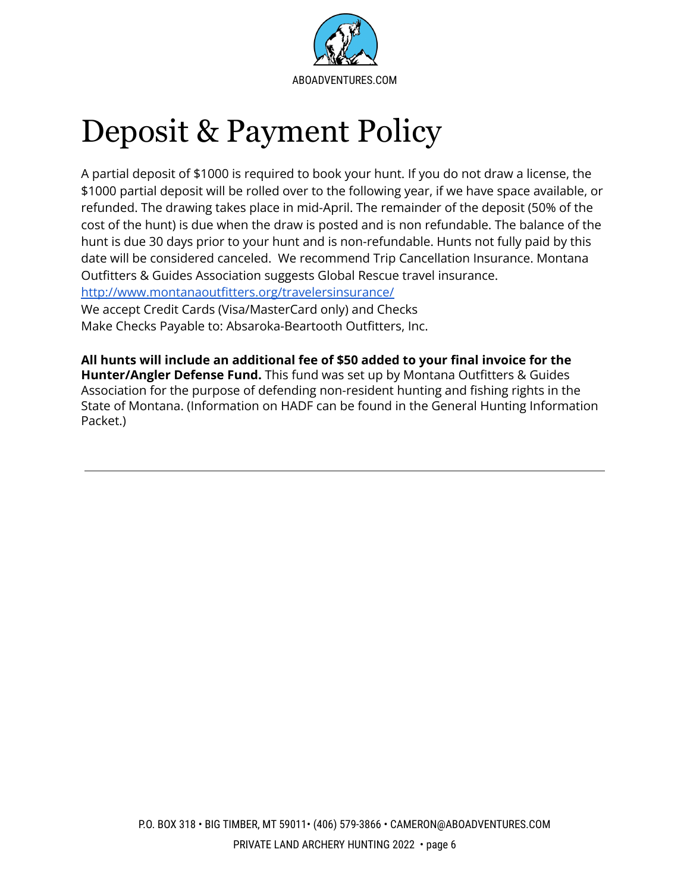

# <span id="page-7-0"></span>Deposit & Payment Policy

A partial deposit of \$1000 is required to book your hunt. If you do not draw a license, the \$1000 partial deposit will be rolled over to the following year, if we have space available, or refunded. The drawing takes place in mid-April. The remainder of the deposit (50% of the cost of the hunt) is due when the draw is posted and is non refundable. The balance of the hunt is due 30 days prior to your hunt and is non-refundable. Hunts not fully paid by this date will be considered canceled. We recommend Trip Cancellation Insurance. Montana Outfitters & Guides Association suggests Global Rescue travel insurance.

<http://www.montanaoutfitters.org/travelersinsurance/>

We accept Credit Cards (Visa/MasterCard only) and Checks Make Checks Payable to: Absaroka-Beartooth Outfitters, Inc.

**All hunts will include an additional fee of \$50 added to your final invoice for the Hunter/Angler Defense Fund.** This fund was set up by Montana Outfitters & Guides Association for the purpose of defending non-resident hunting and fishing rights in the State of Montana. (Information on HADF can be found in the General Hunting Information Packet.)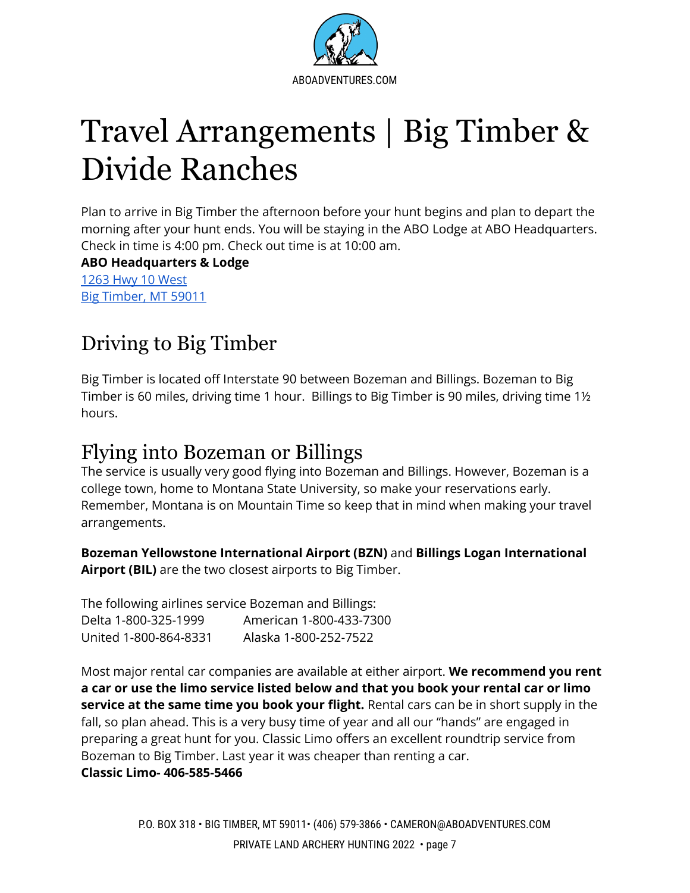

# <span id="page-8-0"></span>Travel Arrangements | Big Timber & Divide Ranches

Plan to arrive in Big Timber the afternoon before your hunt begins and plan to depart the morning after your hunt ends. You will be staying in the ABO Lodge at ABO Headquarters. Check in time is 4:00 pm. Check out time is at 10:00 am.

**ABO Headquarters & Lodge** 1263 Hwy 10 [West](https://www.google.com/maps/place/1263+Hwy+10+W,+Big+Timber,+MT+59011/@45.823528,-109.9893487,17z/data=!3m1!4b1!4m5!3m4!1s0x5345f27bbc27b54f:0xe6d25d9c9907cae0!8m2!3d45.823528!4d-109.98716) Big [Timber,](https://www.google.com/maps/place/1263+Hwy+10+W,+Big+Timber,+MT+59011/@45.823528,-109.9893487,17z/data=!3m1!4b1!4m5!3m4!1s0x5345f27bbc27b54f:0xe6d25d9c9907cae0!8m2!3d45.823528!4d-109.98716) MT 59011

# <span id="page-8-1"></span>Driving to Big Timber

Big Timber is located off Interstate 90 between Bozeman and Billings. Bozeman to Big Timber is 60 miles, driving time 1 hour. Billings to Big Timber is 90 miles, driving time 1½ hours.

# <span id="page-8-2"></span>Flying into Bozeman or Billings

The service is usually very good flying into Bozeman and Billings. However, Bozeman is a college town, home to Montana State University, so make your reservations early. Remember, Montana is on Mountain Time so keep that in mind when making your travel arrangements.

**Bozeman Yellowstone International Airport (BZN)** and **Billings Logan International Airport (BIL)** are the two closest airports to Big Timber.

The following airlines service Bozeman and Billings: Delta 1-800-325-1999 American 1-800-433-7300 United 1-800-864-8331 Alaska 1-800-252-7522

Most major rental car companies are available at either airport. **We recommend you rent a car or use the limo service listed below and that you book your rental car or limo service at the same time you book your flight.** Rental cars can be in short supply in the fall, so plan ahead. This is a very busy time of year and all our "hands" are engaged in preparing a great hunt for you. Classic Limo offers an excellent roundtrip service from Bozeman to Big Timber. Last year it was cheaper than renting a car. **Classic Limo- 406-585-5466**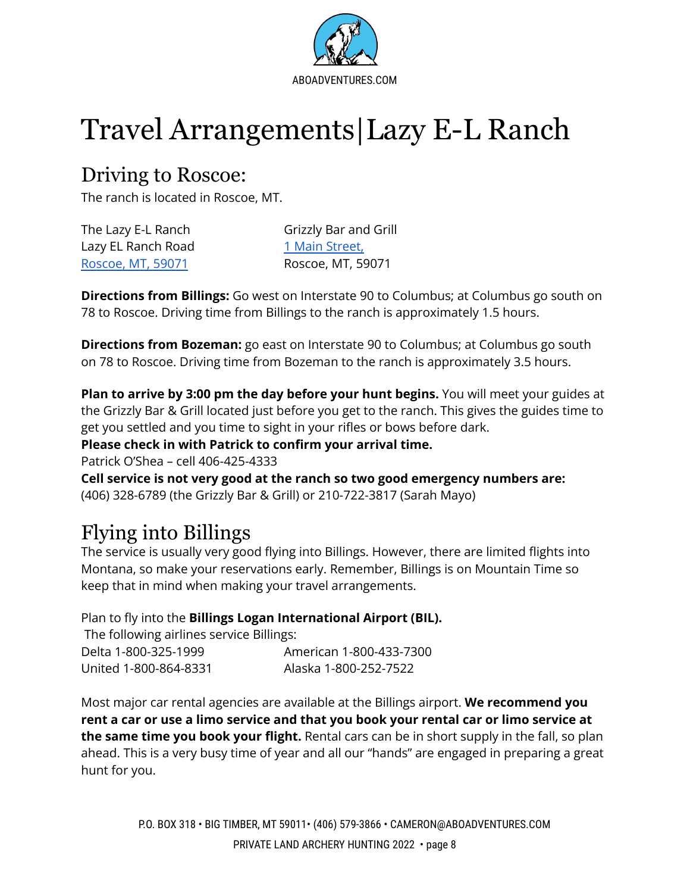

# <span id="page-9-0"></span>Travel Arrangements|Lazy E-L Ranch

## <span id="page-9-1"></span>Driving to Roscoe:

The ranch is located in Roscoe, MT.

| The Lazy E-L Ranch |
|--------------------|
| Lazy EL Ranch Road |
| Roscoe, MT, 59071  |

Grizzly Bar and Grill 1 Main [Street,](https://www.google.com/maps/place/Grizzly+Bar/@45.3487245,-109.4993258,17z/data=!3m1!4b1!4m5!3m4!1s0x534f3a72b35a882d:0x80fa2490189eb908!8m2!3d45.3487245!4d-109.4971371) [Roscoe,](https://www.google.com/maps/place/Grizzly+Bar/@45.3487245,-109.4993258,17z/data=!3m1!4b1!4m5!3m4!1s0x534f3a72b35a882d:0x80fa2490189eb908!8m2!3d45.3487245!4d-109.4971371) MT, 59071 Roscoe, MT, 59071

**Directions from Billings:** Go west on Interstate 90 to Columbus; at Columbus go south on 78 to Roscoe. Driving time from Billings to the ranch is approximately 1.5 hours.

**Directions from Bozeman:** go east on Interstate 90 to Columbus; at Columbus go south on 78 to Roscoe. Driving time from Bozeman to the ranch is approximately 3.5 hours.

**Plan to arrive by 3:00 pm the day before your hunt begins.** You will meet your guides at the Grizzly Bar & Grill located just before you get to the ranch. This gives the guides time to get you settled and you time to sight in your rifles or bows before dark.

**Please check in with Patrick to confirm your arrival time.**

Patrick O'Shea – cell 406-425-4333

**Cell service is not very good at the ranch so two good emergency numbers are:** (406) 328-6789 (the Grizzly Bar & Grill) or 210-722-3817 (Sarah Mayo)

# <span id="page-9-2"></span>Flying into Billings

The service is usually very good flying into Billings. However, there are limited flights into Montana, so make your reservations early. Remember, Billings is on Mountain Time so keep that in mind when making your travel arrangements.

Plan to fly into the **Billings Logan International Airport (BIL).**

The following airlines service Billings: Delta 1-800-325-1999 American 1-800-433-7300 United 1-800-864-8331 Alaska 1-800-252-7522

Most major car rental agencies are available at the Billings airport. **We recommend you rent a car or use a limo service and that you book your rental car or limo service at the same time you book your flight.** Rental cars can be in short supply in the fall, so plan ahead. This is a very busy time of year and all our "hands" are engaged in preparing a great hunt for you.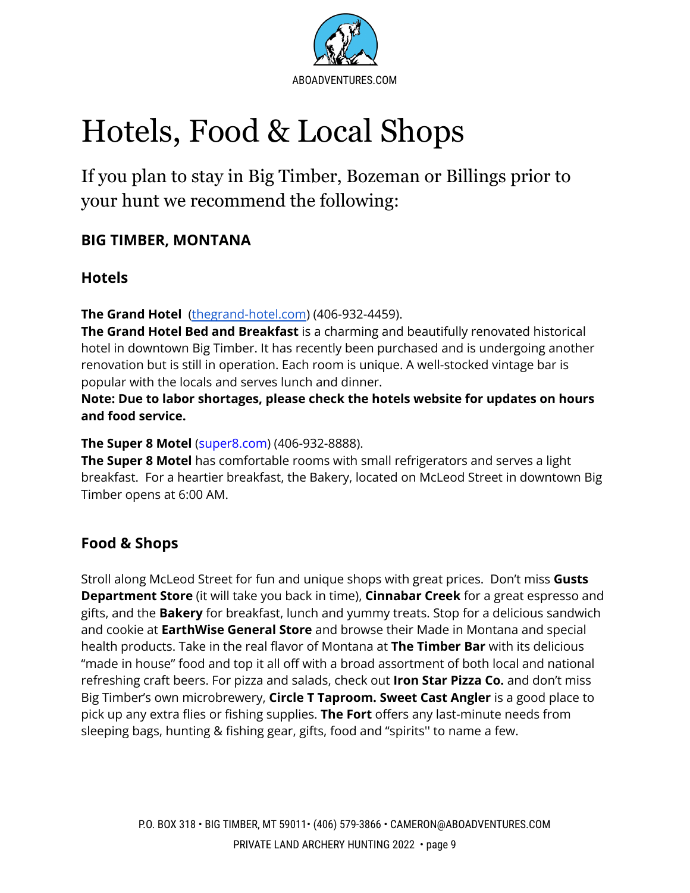

# <span id="page-10-0"></span>Hotels, Food & Local Shops

If you plan to stay in Big Timber, Bozeman or Billings prior to your hunt we recommend the following:

### **BIG TIMBER, MONTANA**

### **Hotels**

**The Grand Hotel** [\(thegrand-hotel.com\)](https://www.thegrand-hotel.com/) (406-932-4459).

**The Grand Hotel Bed and Breakfast** is a charming and beautifully renovated historical hotel in downtown Big Timber. It has recently been purchased and is undergoing another renovation but is still in operation. Each room is unique. A well-stocked vintage bar is popular with the locals and serves lunch and dinner.

**Note: Due to labor shortages, please check the hotels website for updates on hours and food service.**

#### **The Super 8 Motel** (super8.com) (406-932-8888).

**The Super 8 Motel** has comfortable rooms with small refrigerators and serves a light breakfast. For a heartier breakfast, the Bakery, located on McLeod Street in downtown Big Timber opens at 6:00 AM.

### **Food & Shops**

Stroll along McLeod Street for fun and unique shops with great prices. Don't miss **Gusts Department Store** (it will take you back in time), **Cinnabar Creek** for a great espresso and gifts, and the **Bakery** for breakfast, lunch and yummy treats. Stop for a delicious sandwich and cookie at **EarthWise General Store** and browse their Made in Montana and special health products. Take in the real flavor of Montana at **The Timber Bar** with its delicious "made in house" food and top it all off with a broad assortment of both local and national refreshing craft beers. For pizza and salads, check out **Iron Star Pizza Co.** and don't miss Big Timber's own microbrewery, **Circle T Taproom. Sweet Cast Angler** is a good place to pick up any extra flies or fishing supplies. **The Fort** offers any last-minute needs from sleeping bags, hunting & fishing gear, gifts, food and "spirits'' to name a few.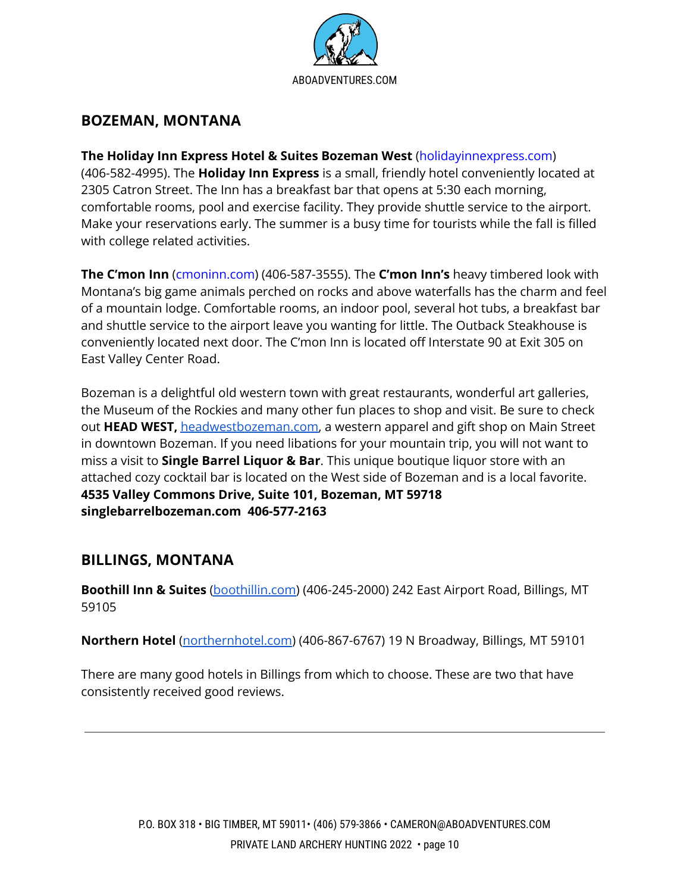

### **BOZEMAN, MONTANA**

#### **The Holiday Inn Express Hotel & Suites Bozeman West** (holidayinnexpress.com)

(406-582-4995). The **Holiday Inn Express** is a small, friendly hotel conveniently located at 2305 Catron Street. The Inn has a breakfast bar that opens at 5:30 each morning, comfortable rooms, pool and exercise facility. They provide shuttle service to the airport. Make your reservations early. The summer is a busy time for tourists while the fall is filled with college related activities.

**The C'mon Inn** (cmoninn.com) (406-587-3555). The **C'mon Inn's** heavy timbered look with Montana's big game animals perched on rocks and above waterfalls has the charm and feel of a mountain lodge. Comfortable rooms, an indoor pool, several hot tubs, a breakfast bar and shuttle service to the airport leave you wanting for little. The Outback Steakhouse is conveniently located next door. The C'mon Inn is located off Interstate 90 at Exit 305 on East Valley Center Road.

Bozeman is a delightful old western town with great restaurants, wonderful art galleries, the Museum of the Rockies and many other fun places to shop and visit. Be sure to check out **HEAD WEST,** [headwestbozeman.com,](http://www.headwestbozeman.com) a western apparel and gift shop on Main Street in downtown Bozeman. If you need libations for your mountain trip, you will not want to miss a visit to **Single Barrel Liquor & Bar**. This unique boutique liquor store with an attached cozy cocktail bar is located on the West side of Bozeman and is a local favorite. **4535 Valley Commons Drive, Suite 101, Bozeman, MT 59718 singlebarrelbozeman.com 406-577-2163**

#### <span id="page-11-0"></span>**BILLINGS, MONTANA**

**Boothill Inn & Suites** [\(boothillin.com\)](http://www.boothillin.com) (406-245-2000) 242 East Airport Road, Billings, MT 59105

**Northern Hotel** [\(northernhotel.com](http://www.northernhotel.com)) (406-867-6767) 19 N Broadway, Billings, MT 59101

There are many good hotels in Billings from which to choose. These are two that have consistently received good reviews.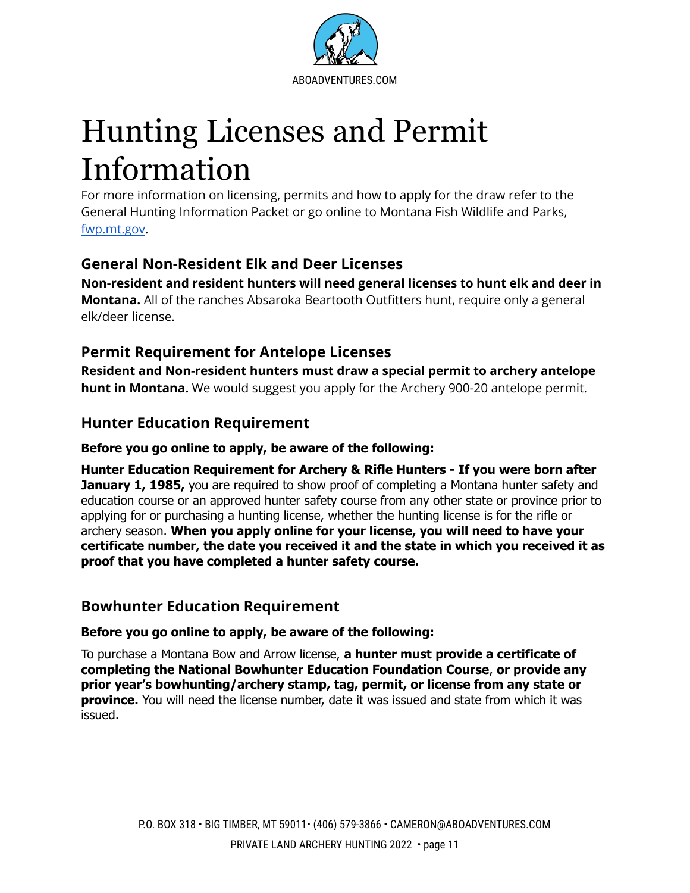

# Hunting Licenses and Permit Information

<span id="page-12-0"></span>For more information on licensing, permits and how to apply for the draw refer to the General Hunting Information Packet or go online to Montana Fish Wildlife and Parks, [fwp.mt.gov.](http://www.fwp.mt.gov)

### <span id="page-12-1"></span>**General Non-Resident Elk and Deer Licenses**

**Non-resident and resident hunters will need general licenses to hunt elk and deer in Montana.** All of the ranches Absaroka Beartooth Outfitters hunt, require only a general elk/deer license.

### **Permit Requirement for Antelope Licenses**

**Resident and Non-resident hunters must draw a special permit to archery antelope hunt in Montana.** We would suggest you apply for the Archery 900-20 antelope permit.

### <span id="page-12-2"></span>**Hunter Education Requirement**

#### **Before you go online to apply, be aware of the following:**

**Hunter Education Requirement for Archery & Rifle Hunters - If you were born after January 1, 1985,** you are required to show proof of completing a Montana hunter safety and education course or an approved hunter safety course from any other state or province prior to applying for or purchasing a hunting license, whether the hunting license is for the rifle or archery season. **When you apply online for your license, you will need to have your certificate number, the date you received it and the state in which you received it as proof that you have completed a hunter safety course.**

#### <span id="page-12-3"></span>**Bowhunter Education Requirement**

#### **Before you go online to apply, be aware of the following:**

To purchase a Montana Bow and Arrow license, **a hunter must provide a certificate of completing the National Bowhunter Education Foundation Course**, **or provide any prior year's bowhunting/archery stamp, tag, permit, or license from any state or province.** You will need the license number, date it was issued and state from which it was issued.